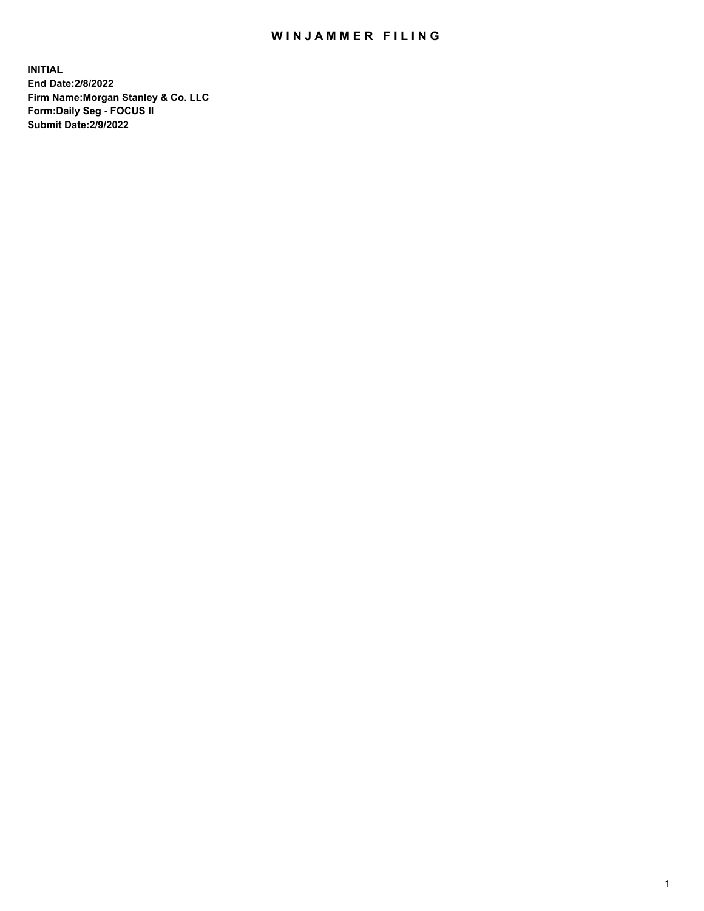## WIN JAMMER FILING

**INITIAL End Date:2/8/2022 Firm Name:Morgan Stanley & Co. LLC Form:Daily Seg - FOCUS II Submit Date:2/9/2022**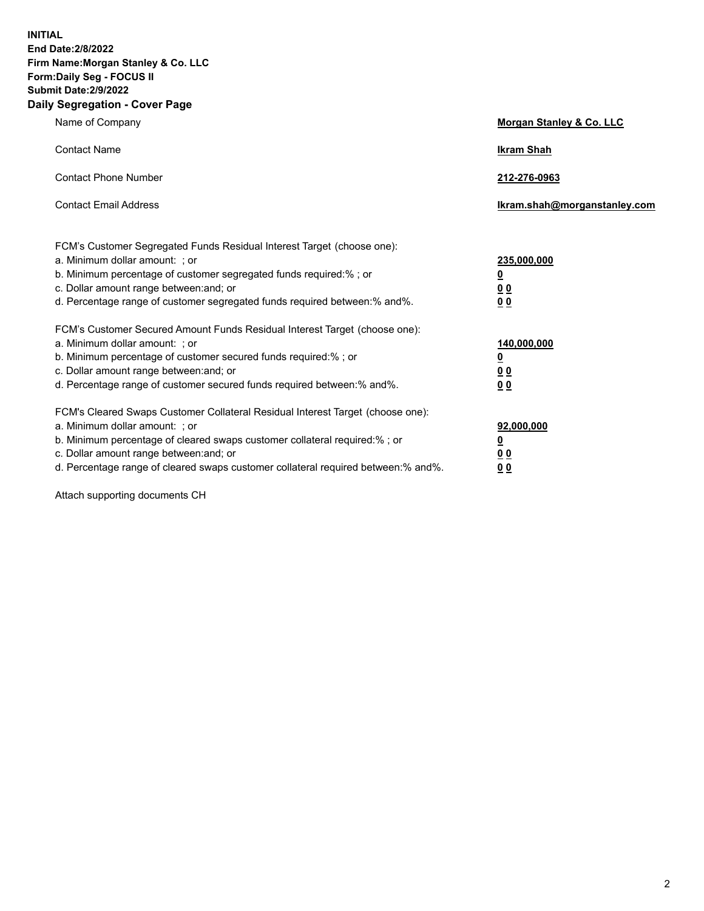**INITIAL End Date:2/8/2022 Firm Name:Morgan Stanley & Co. LLC Form:Daily Seg - FOCUS II Submit Date:2/9/2022 Daily Segregation - Cover Page**

| Name of Company                                                                                                                                                                                                                                                                                                               | Morgan Stanley & Co. LLC                                                     |
|-------------------------------------------------------------------------------------------------------------------------------------------------------------------------------------------------------------------------------------------------------------------------------------------------------------------------------|------------------------------------------------------------------------------|
| <b>Contact Name</b>                                                                                                                                                                                                                                                                                                           | <b>Ikram Shah</b>                                                            |
| <b>Contact Phone Number</b>                                                                                                                                                                                                                                                                                                   | 212-276-0963                                                                 |
| <b>Contact Email Address</b>                                                                                                                                                                                                                                                                                                  | Ikram.shah@morganstanley.com                                                 |
| FCM's Customer Segregated Funds Residual Interest Target (choose one):<br>a. Minimum dollar amount: ; or<br>b. Minimum percentage of customer segregated funds required:% ; or<br>c. Dollar amount range between: and; or<br>d. Percentage range of customer segregated funds required between: % and %.                      | 235,000,000<br><u>0</u><br><u>00</u><br>0 Q                                  |
| FCM's Customer Secured Amount Funds Residual Interest Target (choose one):<br>a. Minimum dollar amount: ; or<br>b. Minimum percentage of customer secured funds required:%; or<br>c. Dollar amount range between: and; or<br>d. Percentage range of customer secured funds required between:% and%.                           | 140,000,000<br><u>0</u><br>$\underline{0}$ $\underline{0}$<br>0 <sup>0</sup> |
| FCM's Cleared Swaps Customer Collateral Residual Interest Target (choose one):<br>a. Minimum dollar amount: ; or<br>b. Minimum percentage of cleared swaps customer collateral required:%; or<br>c. Dollar amount range between: and; or<br>d. Percentage range of cleared swaps customer collateral required between:% and%. | 92,000,000<br><u>0</u><br><u>00</u><br>00                                    |

Attach supporting documents CH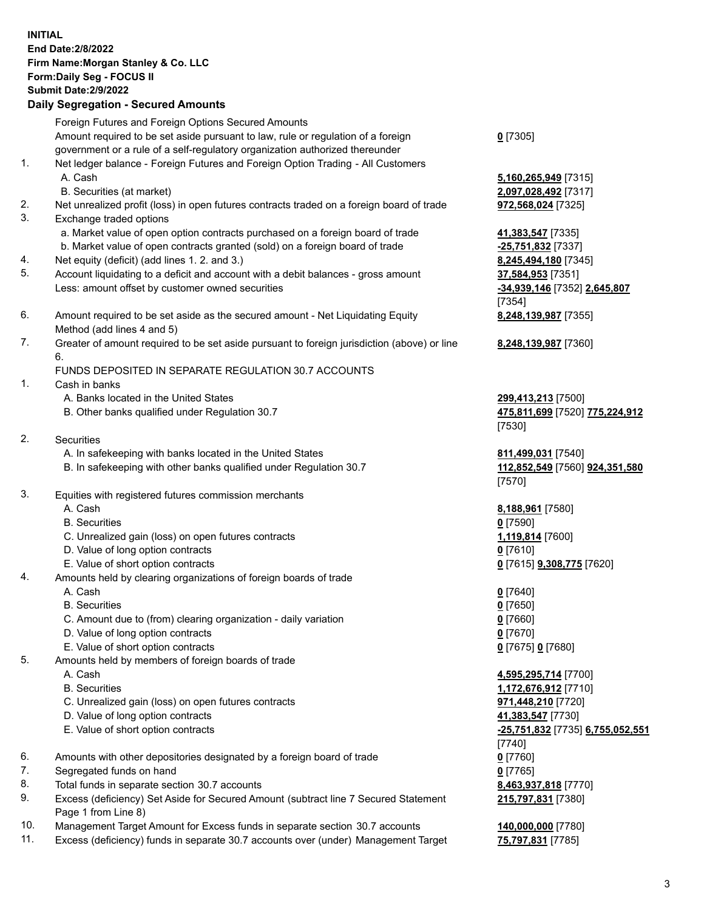| <b>INITIAL</b> | <b>End Date: 2/8/2022</b>                                                                                                 |                                            |
|----------------|---------------------------------------------------------------------------------------------------------------------------|--------------------------------------------|
|                | Firm Name: Morgan Stanley & Co. LLC<br>Form: Daily Seg - FOCUS II                                                         |                                            |
|                | <b>Submit Date: 2/9/2022</b>                                                                                              |                                            |
|                | <b>Daily Segregation - Secured Amounts</b>                                                                                |                                            |
|                | Foreign Futures and Foreign Options Secured Amounts                                                                       |                                            |
|                | Amount required to be set aside pursuant to law, rule or regulation of a foreign                                          | $0$ [7305]                                 |
|                | government or a rule of a self-regulatory organization authorized thereunder                                              |                                            |
| 1.             | Net ledger balance - Foreign Futures and Foreign Option Trading - All Customers                                           |                                            |
|                | A. Cash                                                                                                                   | 5,160,265,949 [7315]                       |
|                | B. Securities (at market)                                                                                                 | 2,097,028,492 [7317]                       |
| 2.             | Net unrealized profit (loss) in open futures contracts traded on a foreign board of trade                                 | 972,568,024 [7325]                         |
| 3.             | Exchange traded options                                                                                                   |                                            |
|                | a. Market value of open option contracts purchased on a foreign board of trade                                            | 41,383,547 [7335]                          |
|                | b. Market value of open contracts granted (sold) on a foreign board of trade                                              | -25,751,832 [7337]                         |
| 4.             | Net equity (deficit) (add lines 1. 2. and 3.)                                                                             | 8,245,494,180 [7345]                       |
| 5.             | Account liquidating to a deficit and account with a debit balances - gross amount                                         | 37,584,953 [7351]                          |
|                | Less: amount offset by customer owned securities                                                                          | -34,939,146 [7352] 2,645,807               |
|                |                                                                                                                           | [7354]                                     |
| 6.             | Amount required to be set aside as the secured amount - Net Liquidating Equity                                            | 8,248,139,987 [7355]                       |
| 7.             | Method (add lines 4 and 5)<br>Greater of amount required to be set aside pursuant to foreign jurisdiction (above) or line |                                            |
|                | 6.                                                                                                                        | 8,248,139,987 [7360]                       |
|                | FUNDS DEPOSITED IN SEPARATE REGULATION 30.7 ACCOUNTS                                                                      |                                            |
| 1.             | Cash in banks                                                                                                             |                                            |
|                | A. Banks located in the United States                                                                                     | 299,413,213 [7500]                         |
|                | B. Other banks qualified under Regulation 30.7                                                                            | 475,811,699 [7520] 775,224,912             |
|                |                                                                                                                           | [7530]                                     |
| 2.             | Securities                                                                                                                |                                            |
|                | A. In safekeeping with banks located in the United States                                                                 | 811,499,031 [7540]                         |
|                | B. In safekeeping with other banks qualified under Regulation 30.7                                                        | 112,852,549 [7560] 924,351,580             |
|                |                                                                                                                           | [7570]                                     |
| 3.             | Equities with registered futures commission merchants<br>A. Cash                                                          |                                            |
|                | <b>B.</b> Securities                                                                                                      | 8,188,961 [7580]<br><u>0</u> [7590]        |
|                | C. Unrealized gain (loss) on open futures contracts                                                                       | 1,119,814 [7600]                           |
|                | D. Value of long option contracts                                                                                         | $0$ [7610]                                 |
|                | E. Value of short option contracts                                                                                        | 0 [7615] 9,308,775 [7620]                  |
| 4.             | Amounts held by clearing organizations of foreign boards of trade                                                         |                                            |
|                | A. Cash                                                                                                                   | $0$ [7640]                                 |
|                | <b>B.</b> Securities                                                                                                      | $0$ [7650]                                 |
|                | C. Amount due to (from) clearing organization - daily variation                                                           | $0$ [7660]                                 |
|                | D. Value of long option contracts                                                                                         | $0$ [7670]                                 |
|                | E. Value of short option contracts                                                                                        | 0 [7675] 0 [7680]                          |
| 5.             | Amounts held by members of foreign boards of trade                                                                        |                                            |
|                | A. Cash                                                                                                                   | 4,595,295,714 [7700]                       |
|                | <b>B.</b> Securities                                                                                                      | 1,172,676,912 [7710]                       |
|                | C. Unrealized gain (loss) on open futures contracts                                                                       | 971,448,210 [7720]                         |
|                | D. Value of long option contracts                                                                                         | 41,383,547 [7730]                          |
|                | E. Value of short option contracts                                                                                        | -25,751,832 [7735] 6,755,052,551<br>[7740] |
| 6.             | Amounts with other depositories designated by a foreign board of trade                                                    | $0$ [7760]                                 |
| 7.             | Segregated funds on hand                                                                                                  | $0$ [7765]                                 |
| 8.             | Total funds in separate section 30.7 accounts                                                                             | 8,463,937,818 [7770]                       |
| 9.             | Excess (deficiency) Set Aside for Secured Amount (subtract line 7 Secured Statement                                       | 215,797,831 [7380]                         |
|                | Page 1 from Line 8)                                                                                                       |                                            |

10. Management Target Amount for Excess funds in separate section 30.7 accounts **140,000,000** [7780]

11. Excess (deficiency) funds in separate 30.7 accounts over (under) Management Target **75,797,831** [7785]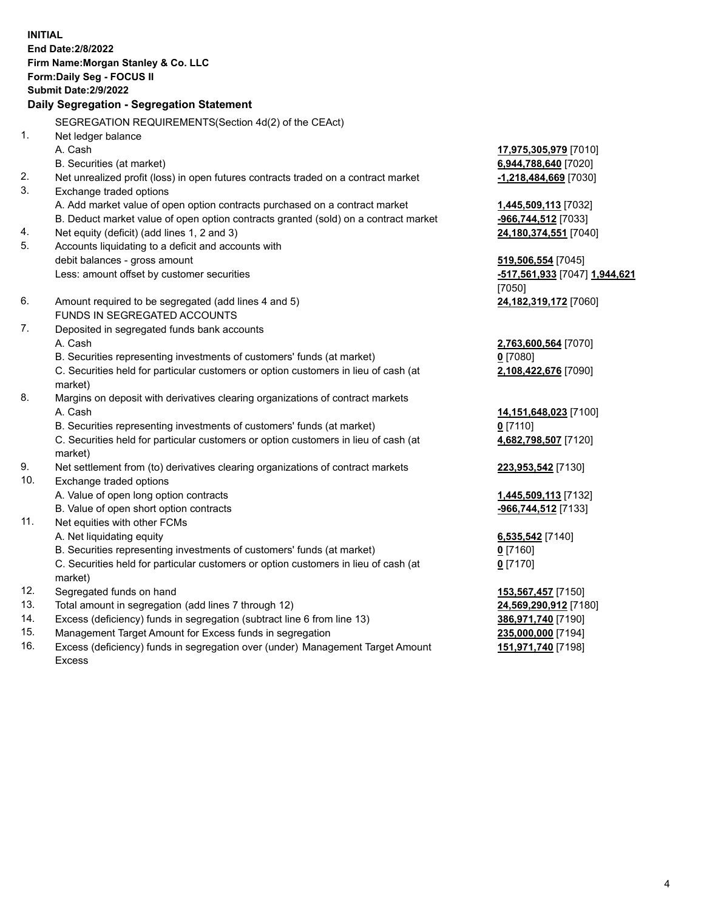**INITIAL End Date:2/8/2022 Firm Name:Morgan Stanley & Co. LLC Form:Daily Seg - FOCUS II Submit Date:2/9/2022 Daily Segregation - Segregation Statement** SEGREGATION REQUIREMENTS(Section 4d(2) of the CEAct) 1. Net ledger balance A. Cash **17,975,305,979** [7010] B. Securities (at market) **6,944,788,640** [7020] 2. Net unrealized profit (loss) in open futures contracts traded on a contract market **-1,218,484,669** [7030] 3. Exchange traded options A. Add market value of open option contracts purchased on a contract market **1,445,509,113** [7032] B. Deduct market value of open option contracts granted (sold) on a contract market **-966,744,512** [7033] 4. Net equity (deficit) (add lines 1, 2 and 3) **24,180,374,551** [7040] 5. Accounts liquidating to a deficit and accounts with debit balances - gross amount **519,506,554** [7045] Less: amount offset by customer securities **-517,561,933** [7047] **1,944,621** [7050] 6. Amount required to be segregated (add lines 4 and 5) **24,182,319,172** [7060] FUNDS IN SEGREGATED ACCOUNTS 7. Deposited in segregated funds bank accounts A. Cash **2,763,600,564** [7070] B. Securities representing investments of customers' funds (at market) **0** [7080] C. Securities held for particular customers or option customers in lieu of cash (at market) **2,108,422,676** [7090] 8. Margins on deposit with derivatives clearing organizations of contract markets A. Cash **14,151,648,023** [7100] B. Securities representing investments of customers' funds (at market) **0** [7110] C. Securities held for particular customers or option customers in lieu of cash (at market) **4,682,798,507** [7120] 9. Net settlement from (to) derivatives clearing organizations of contract markets **223,953,542** [7130] 10. Exchange traded options A. Value of open long option contracts **1,445,509,113** [7132] B. Value of open short option contracts **-966,744,512** [7133] 11. Net equities with other FCMs A. Net liquidating equity **6,535,542** [7140] B. Securities representing investments of customers' funds (at market) **0** [7160] C. Securities held for particular customers or option customers in lieu of cash (at market) **0** [7170] 12. Segregated funds on hand **153,567,457** [7150] 13. Total amount in segregation (add lines 7 through 12) **24,569,290,912** [7180] 14. Excess (deficiency) funds in segregation (subtract line 6 from line 13) **386,971,740** [7190]

- 15. Management Target Amount for Excess funds in segregation **235,000,000** [7194]
- 16. Excess (deficiency) funds in segregation over (under) Management Target Amount Excess

**151,971,740** [7198]